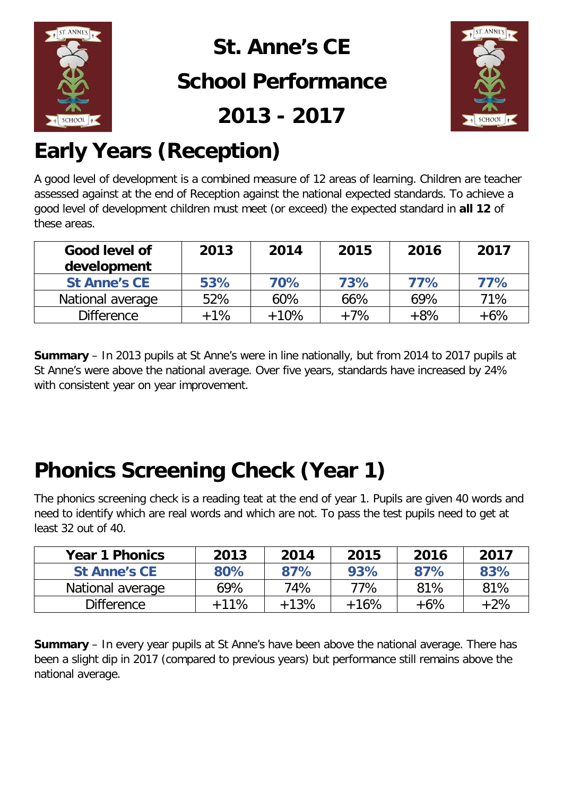

### **St. Anne's CE School Performance**

**2013 - 2017**



# **Early Years (Reception)**

A good level of development is a combined measure of 12 areas of learning. Children are teacher assessed against at the end of Reception against the national expected standards. To achieve a good level of development children must meet (or exceed) the expected standard in **all 12** of these areas.

| Good level of<br>development | 2013   | 2014   | 2015  | 2016  | 2017  |
|------------------------------|--------|--------|-------|-------|-------|
| <b>St Anne's CE</b>          | 53%    | 70%    | 73%   | 77%   | 77%   |
| National average             | 52%    | 60%    | 66%   | 69%   | 71%   |
| <b>Difference</b>            | $+1\%$ | $+10%$ | $+7%$ | $+8%$ | $+6%$ |

**Summary** – In 2013 pupils at St Anne's were in line nationally, but from 2014 to 2017 pupils at St Anne's were above the national average. Over five years, standards have increased by 24% with consistent year on year improvement.

### **Phonics Screening Check (Year 1)**

The phonics screening check is a reading teat at the end of year 1. Pupils are given 40 words and need to identify which are real words and which are not. To pass the test pupils need to get at least 32 out of 40.

| <b>Year 1 Phonics</b> | 2013   | 2014   | 2015   | 2016   | 2017   |
|-----------------------|--------|--------|--------|--------|--------|
| <b>St Anne's CE</b>   | 80%    | 87%    | 93%    | 87%    | 83%    |
| National average      | 69%    | 74%    | 77%    | 81%    | 81%    |
| <b>Difference</b>     | $+11%$ | $+13%$ | $+16%$ | $+6\%$ | $+2\%$ |

**Summary** – In every year pupils at St Anne's have been above the national average. There has been a slight dip in 2017 (compared to previous years) but performance still remains above the national average.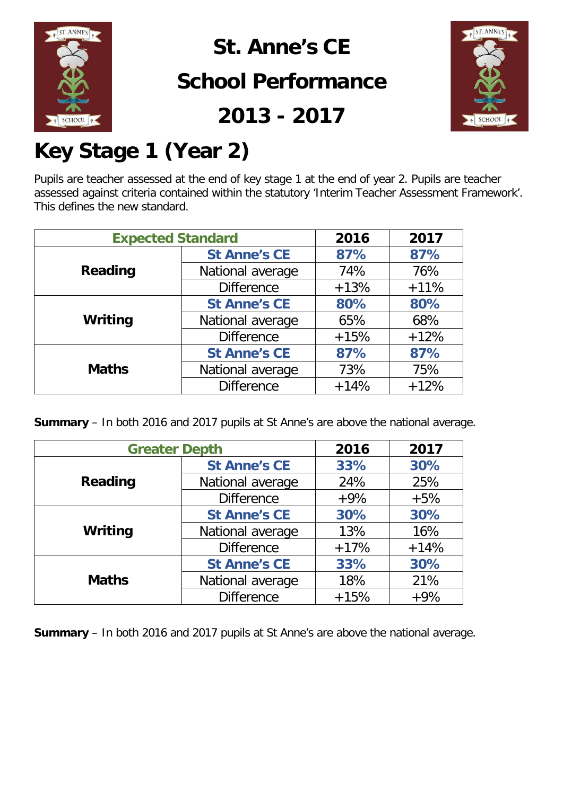

**St. Anne's CE** 

#### **School Performance**

**2013 - 2017**



## **Key Stage 1 (Year 2)**

Pupils are teacher assessed at the end of key stage 1 at the end of year 2. Pupils are teacher assessed against criteria contained within the statutory 'Interim Teacher Assessment Framework'. This defines the new standard.

|              | <b>Expected Standard</b> |        | 2017   |
|--------------|--------------------------|--------|--------|
| Reading      | <b>St Anne's CE</b>      | 87%    | 87%    |
|              | National average         | 74%    | 76%    |
|              | <b>Difference</b>        | $+13%$ | $+11%$ |
| Writing      | <b>St Anne's CE</b>      | 80%    | 80%    |
|              | National average         | 65%    | 68%    |
|              | <b>Difference</b>        | $+15%$ | $+12%$ |
|              | <b>St Anne's CE</b>      | 87%    | 87%    |
| <b>Maths</b> | National average         | 73%    | 75%    |
|              | <b>Difference</b>        | $+14%$ | $+12%$ |

**Summary** – In both 2016 and 2017 pupils at St Anne's are above the national average.

| <b>Greater Depth</b> |                     | 2016   | 2017   |
|----------------------|---------------------|--------|--------|
|                      | <b>St Anne's CE</b> | 33%    | 30%    |
| Reading              | National average    | 24%    | 25%    |
|                      | <b>Difference</b>   | $+9%$  | $+5%$  |
|                      | <b>St Anne's CE</b> | 30%    | 30%    |
| Writing              | National average    | 13%    | 16%    |
|                      | <b>Difference</b>   | $+17%$ | $+14%$ |
|                      | <b>St Anne's CE</b> | 33%    | 30%    |
| <b>Maths</b>         | National average    | 18%    | 21%    |
|                      | <b>Difference</b>   | $+15%$ | $+9%$  |

**Summary** – In both 2016 and 2017 pupils at St Anne's are above the national average.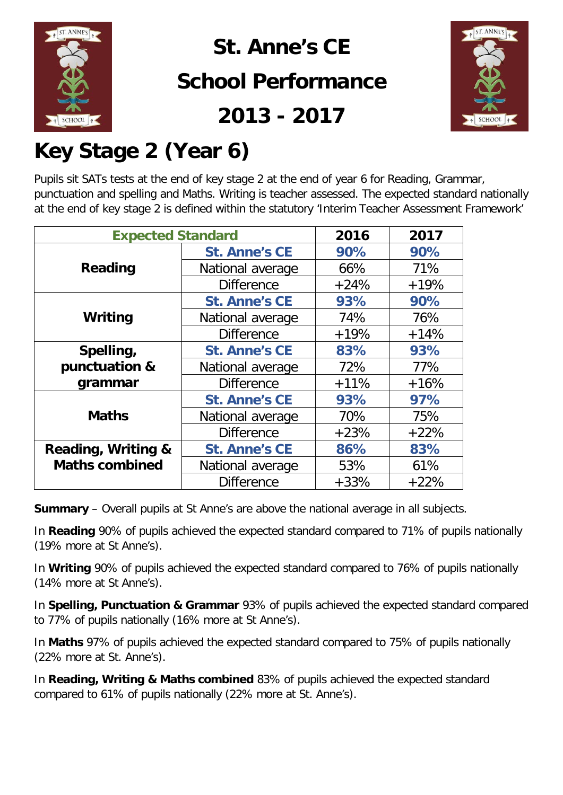

**St. Anne's CE School Performance**





### **Key Stage 2 (Year 6)**

Pupils sit SATs tests at the end of key stage 2 at the end of year 6 for Reading, Grammar, punctuation and spelling and Maths. Writing is teacher assessed. The expected standard nationally at the end of key stage 2 is defined within the statutory 'Interim Teacher Assessment Framework'

| <b>Expected Standard</b> |                      | 2016   | 2017   |
|--------------------------|----------------------|--------|--------|
|                          | <b>St. Anne's CE</b> | 90%    | 90%    |
| Reading                  | National average     | 66%    | 71%    |
|                          | <b>Difference</b>    | $+24%$ | $+19%$ |
|                          | <b>St. Anne's CE</b> | 93%    | 90%    |
| Writing                  | National average     | 74%    | 76%    |
|                          | <b>Difference</b>    | $+19%$ | $+14%$ |
| Spelling,                | <b>St. Anne's CE</b> | 83%    | 93%    |
| punctuation &            | National average     | 72%    | 77%    |
| grammar                  | <b>Difference</b>    | $+11%$ | $+16%$ |
|                          | <b>St. Anne's CE</b> | 93%    | 97%    |
| <b>Maths</b>             | National average     | 70%    | 75%    |
|                          | <b>Difference</b>    | $+23%$ | $+22%$ |
| Reading, Writing &       | <b>St. Anne's CE</b> | 86%    | 83%    |
| <b>Maths combined</b>    | National average     | 53%    | 61%    |
|                          | <b>Difference</b>    | $+33%$ | $+22%$ |

**Summary** – Overall pupils at St Anne's are above the national average in all subjects.

In **Reading** 90% of pupils achieved the expected standard compared to 71% of pupils nationally (19% more at St Anne's).

In **Writing** 90% of pupils achieved the expected standard compared to 76% of pupils nationally (14% more at St Anne's).

In **Spelling, Punctuation & Grammar** 93% of pupils achieved the expected standard compared to 77% of pupils nationally (16% more at St Anne's).

In **Maths** 97% of pupils achieved the expected standard compared to 75% of pupils nationally (22% more at St. Anne's).

In **Reading, Writing & Maths combined** 83% of pupils achieved the expected standard compared to 61% of pupils nationally (22% more at St. Anne's).